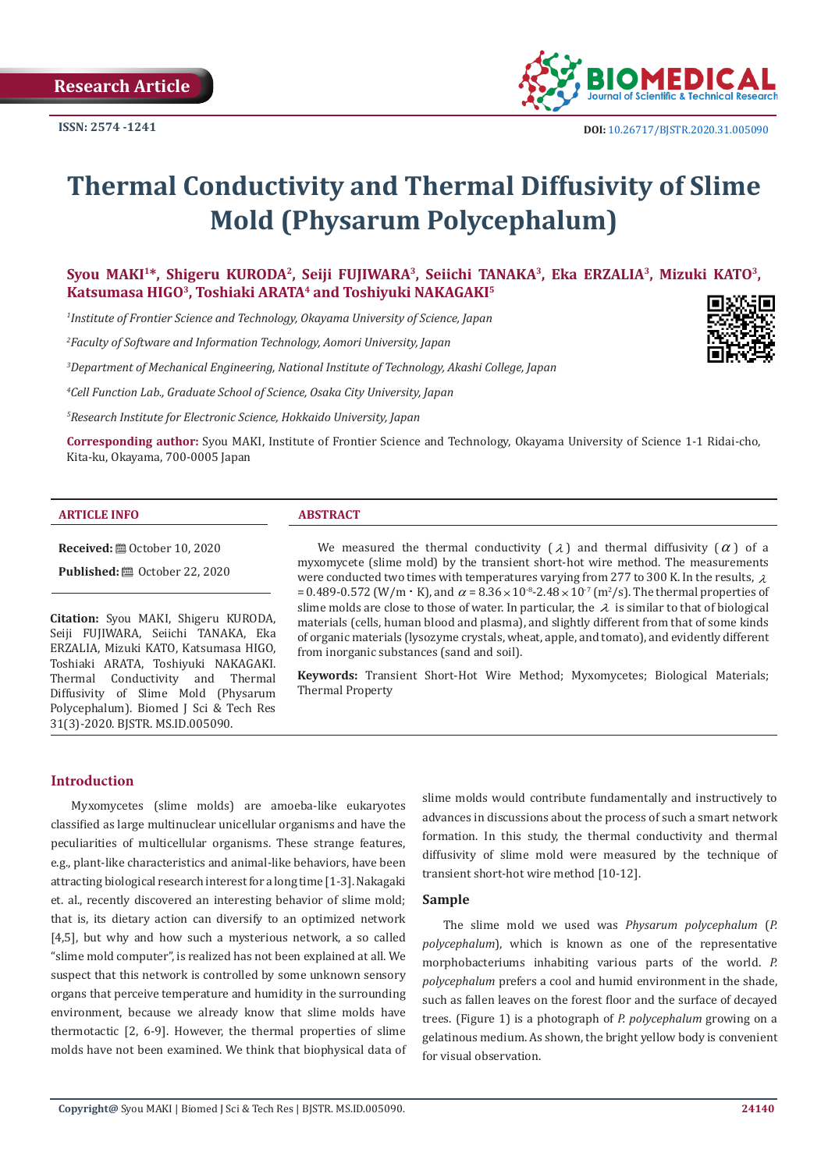

# **Thermal Conductivity and Thermal Diffusivity of Slime Mold (Physarum Polycephalum)**

# Syou MAKI<sup>1\*</sup>, Shigeru KURODA<sup>2</sup>, Seiji FUJIWARA<sup>3</sup>, Seiichi TANAKA<sup>3</sup>, Eka ERZALIA<sup>3</sup>, Mizuki KATO<sup>3</sup>, **Katsumasa HIGO3, Toshiaki ARATA4 and Toshiyuki NAKAGAKI5**

*1 Institute of Frontier Science and Technology, Okayama University of Science, Japan*

*2 Faculty of Software and Information Technology, Aomori University, Japan*

*3 Department of Mechanical Engineering, National Institute of Technology, Akashi College, Japan*



*4 Cell Function Lab., Graduate School of Science, Osaka City University, Japan*

*5 Research Institute for Electronic Science, Hokkaido University, Japan*

**Corresponding author:** Syou MAKI, Institute of Frontier Science and Technology, Okayama University of Science 1-1 Ridai-cho, Kita-ku, Okayama, 700-0005 Japan

#### **ARTICLE INFO ABSTRACT**

**Received:** ■ October 10, 2020 **Published:** © October 22, 2020

**Citation:** Syou MAKI, Shigeru KURODA, Seiji FUJIWARA, Seiichi TANAKA, Eka ERZALIA, Mizuki KATO, Katsumasa HIGO, Toshiaki ARATA, Toshiyuki NAKAGAKI. Thermal Conductivity and Thermal Diffusivity of Slime Mold (Physarum Polycephalum). Biomed J Sci & Tech Res 31(3)-2020. BJSTR. MS.ID.005090.

We measured the thermal conductivity  $(\lambda)$  and thermal diffusivity  $(\alpha)$  of a myxomycete (slime mold) by the transient short-hot wire method. The measurements were conducted two times with temperatures varying from 277 to 300 K. In the results,  $\lambda$ = 0.489-0.572 (W/m ⋅ K), and  $\alpha$  = 8.36 × 10<sup>-8</sup>-2.48 × 10<sup>-7</sup> (m<sup>2</sup>/s). The thermal properties of slime molds are close to those of water. In particular, the  $\lambda$  is similar to that of biological materials (cells, human blood and plasma), and slightly different from that of some kinds of organic materials (lysozyme crystals, wheat, apple, and tomato), and evidently different from inorganic substances (sand and soil).

**Keywords:** Transient Short-Hot Wire Method; Myxomycetes; Biological Materials; Thermal Property

# **Introduction**

Myxomycetes (slime molds) are amoeba-like eukaryotes classified as large multinuclear unicellular organisms and have the peculiarities of multicellular organisms. These strange features, e.g., plant-like characteristics and animal-like behaviors, have been attracting biological research interest for a long time [1-3]. Nakagaki et. al., recently discovered an interesting behavior of slime mold; that is, its dietary action can diversify to an optimized network [4,5], but why and how such a mysterious network, a so called "slime mold computer", is realized has not been explained at all. We suspect that this network is controlled by some unknown sensory organs that perceive temperature and humidity in the surrounding environment, because we already know that slime molds have thermotactic [2, 6-9]. However, the thermal properties of slime molds have not been examined. We think that biophysical data of slime molds would contribute fundamentally and instructively to advances in discussions about the process of such a smart network formation. In this study, the thermal conductivity and thermal diffusivity of slime mold were measured by the technique of transient short-hot wire method [10-12].

#### **Sample**

The slime mold we used was *Physarum polycephalum* (*P. polycephalum*), which is known as one of the representative morphobacteriums inhabiting various parts of the world. *P. polycephalum* prefers a cool and humid environment in the shade, such as fallen leaves on the forest floor and the surface of decayed trees. (Figure 1) is a photograph of *P. polycephalum* growing on a gelatinous medium. As shown, the bright yellow body is convenient for visual observation.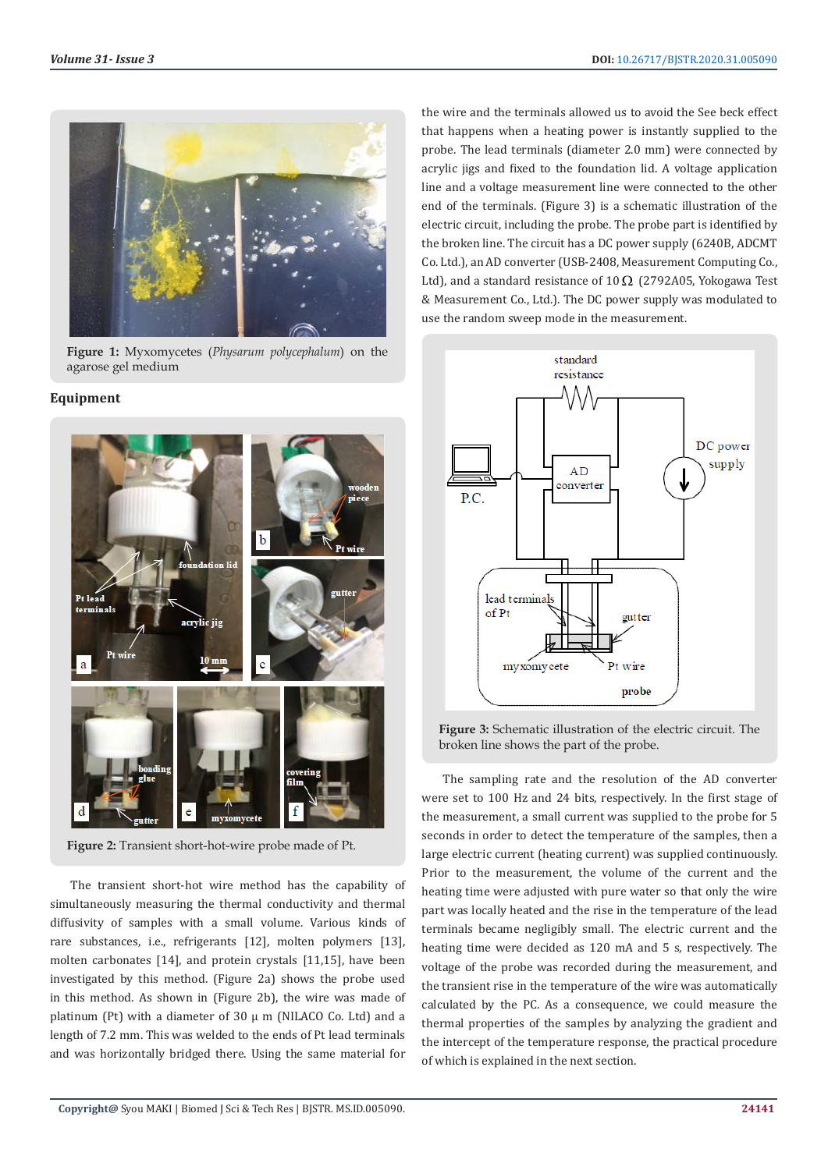

**Figure 1:** Myxomycetes (*Physarum polycephalum*) on the agarose gel medium

## **Equipment**



**Figure 2:** Transient short-hot-wire probe made of Pt.

The transient short-hot wire method has the capability of simultaneously measuring the thermal conductivity and thermal diffusivity of samples with a small volume. Various kinds of rare substances, i.e., refrigerants [12], molten polymers [13], molten carbonates [14], and protein crystals [11,15], have been investigated by this method. (Figure 2a) shows the probe used in this method. As shown in (Figure 2b), the wire was made of platinum (Pt) with a diameter of  $30 \mu$  m (NILACO Co. Ltd) and a length of 7.2 mm. This was welded to the ends of Pt lead terminals and was horizontally bridged there. Using the same material for

the wire and the terminals allowed us to avoid the See beck effect that happens when a heating power is instantly supplied to the probe. The lead terminals (diameter 2.0 mm) were connected by acrylic jigs and fixed to the foundation lid. A voltage application line and a voltage measurement line were connected to the other end of the terminals. (Figure 3) is a schematic illustration of the electric circuit, including the probe. The probe part is identified by the broken line. The circuit has a DC power supply (6240B, ADCMT Co. Ltd.), an AD converter (USB-2408, Measurement Computing Co., Ltd), and a standard resistance of  $10\Omega$  (2792A05, Yokogawa Test & Measurement Co., Ltd.). The DC power supply was modulated to use the random sweep mode in the measurement.



**Figure 3:** Schematic illustration of the electric circuit. The broken line shows the part of the probe.

The sampling rate and the resolution of the AD converter were set to 100 Hz and 24 bits, respectively. In the first stage of the measurement, a small current was supplied to the probe for 5 seconds in order to detect the temperature of the samples, then a large electric current (heating current) was supplied continuously. Prior to the measurement, the volume of the current and the heating time were adjusted with pure water so that only the wire part was locally heated and the rise in the temperature of the lead terminals became negligibly small. The electric current and the heating time were decided as 120 mA and 5 s, respectively. The voltage of the probe was recorded during the measurement, and the transient rise in the temperature of the wire was automatically calculated by the PC. As a consequence, we could measure the thermal properties of the samples by analyzing the gradient and the intercept of the temperature response, the practical procedure of which is explained in the next section.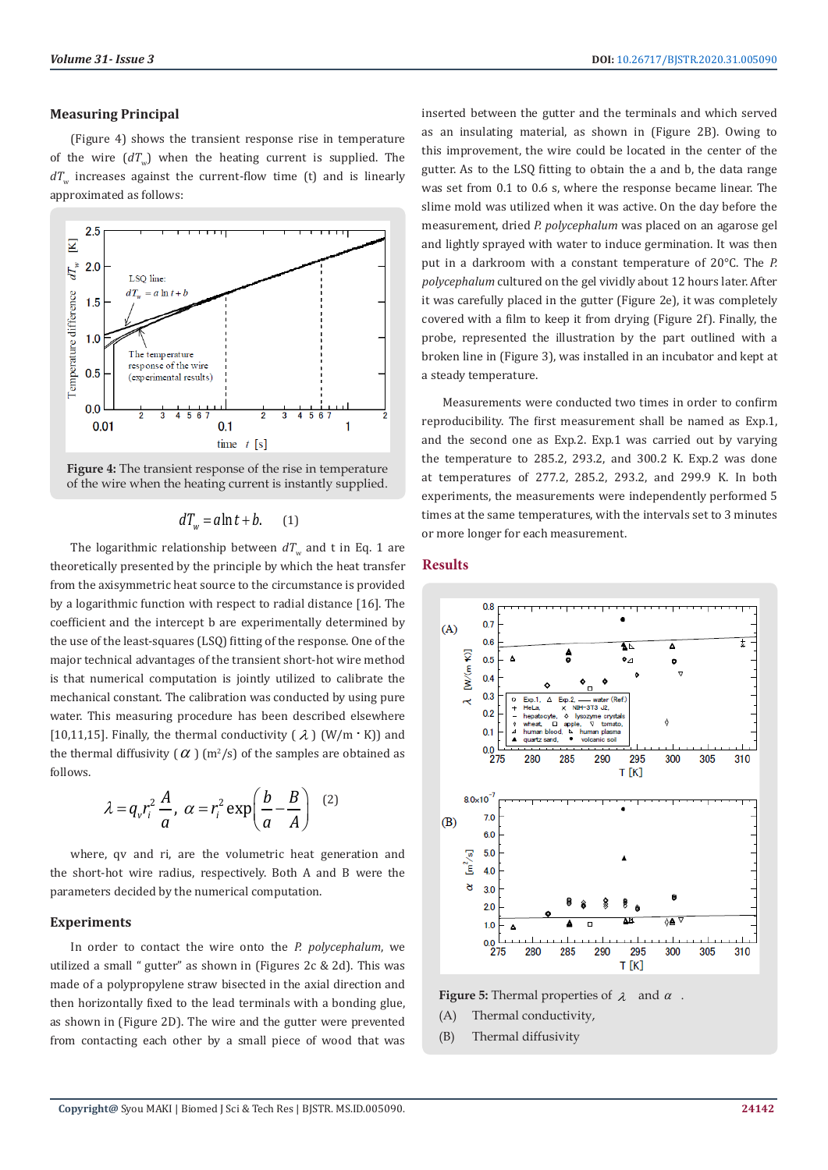# **Measuring Principal**

(Figure 4) shows the transient response rise in temperature of the wire  $(dT_w)$  when the heating current is supplied. The  $dT_{\mu}$  increases against the current-flow time (t) and is linearly approximated as follows:



**Figure 4:** The transient response of the rise in temperature of the wire when the heating current is instantly supplied.

# $dT_w = a \ln t + b.$  (1)

The logarithmic relationship between  $dT_w$  and t in Eq. 1 are theoretically presented by the principle by which the heat transfer from the axisymmetric heat source to the circumstance is provided by a logarithmic function with respect to radial distance [16]. The coefficient and the intercept b are experimentally determined by the use of the least-squares (LSQ) fitting of the response. One of the major technical advantages of the transient short-hot wire method is that numerical computation is jointly utilized to calibrate the mechanical constant. The calibration was conducted by using pure water. This measuring procedure has been described elsewhere [10,11,15]. Finally, the thermal conductivity  $(\lambda)$  (W/m ⋅ K)) and the thermal diffusivity (  $\alpha$  ) (m<sup>2</sup>/s) of the samples are obtained as follows.

$$
\lambda = q_v r_i^2 \frac{A}{a}, \ \alpha = r_i^2 \exp\left(\frac{b}{a} - \frac{B}{A}\right)
$$
 (2)

where, qv and ri, are the volumetric heat generation and the short-hot wire radius, respectively. Both A and B were the parameters decided by the numerical computation.

### **Experiments**

In order to contact the wire onto the *P. polycephalum*, we utilized a small " gutter" as shown in (Figures 2c & 2d). This was made of a polypropylene straw bisected in the axial direction and then horizontally fixed to the lead terminals with a bonding glue, as shown in (Figure 2D). The wire and the gutter were prevented from contacting each other by a small piece of wood that was inserted between the gutter and the terminals and which served as an insulating material, as shown in (Figure 2B). Owing to this improvement, the wire could be located in the center of the gutter. As to the LSQ fitting to obtain the a and b, the data range was set from 0.1 to 0.6 s, where the response became linear. The slime mold was utilized when it was active. On the day before the measurement, dried *P. polycephalum* was placed on an agarose gel and lightly sprayed with water to induce germination. It was then put in a darkroom with a constant temperature of 20°C. The *P. polycephalum* cultured on the gel vividly about 12 hours later. After it was carefully placed in the gutter (Figure 2e), it was completely covered with a film to keep it from drying (Figure 2f). Finally, the probe, represented the illustration by the part outlined with a broken line in (Figure 3), was installed in an incubator and kept at a steady temperature.

Measurements were conducted two times in order to confirm reproducibility. The first measurement shall be named as Exp.1, and the second one as Exp.2. Exp.1 was carried out by varying the temperature to 285.2, 293.2, and 300.2 K. Exp.2 was done at temperatures of 277.2, 285.2, 293.2, and 299.9 K. In both experiments, the measurements were independently performed 5 times at the same temperatures, with the intervals set to 3 minutes or more longer for each measurement.

### **Results**



**Figure 5:** Thermal properties of  $\lambda$  and  $\alpha$ .

- (A) Thermal conductivity,
- (B) Thermal diffusivity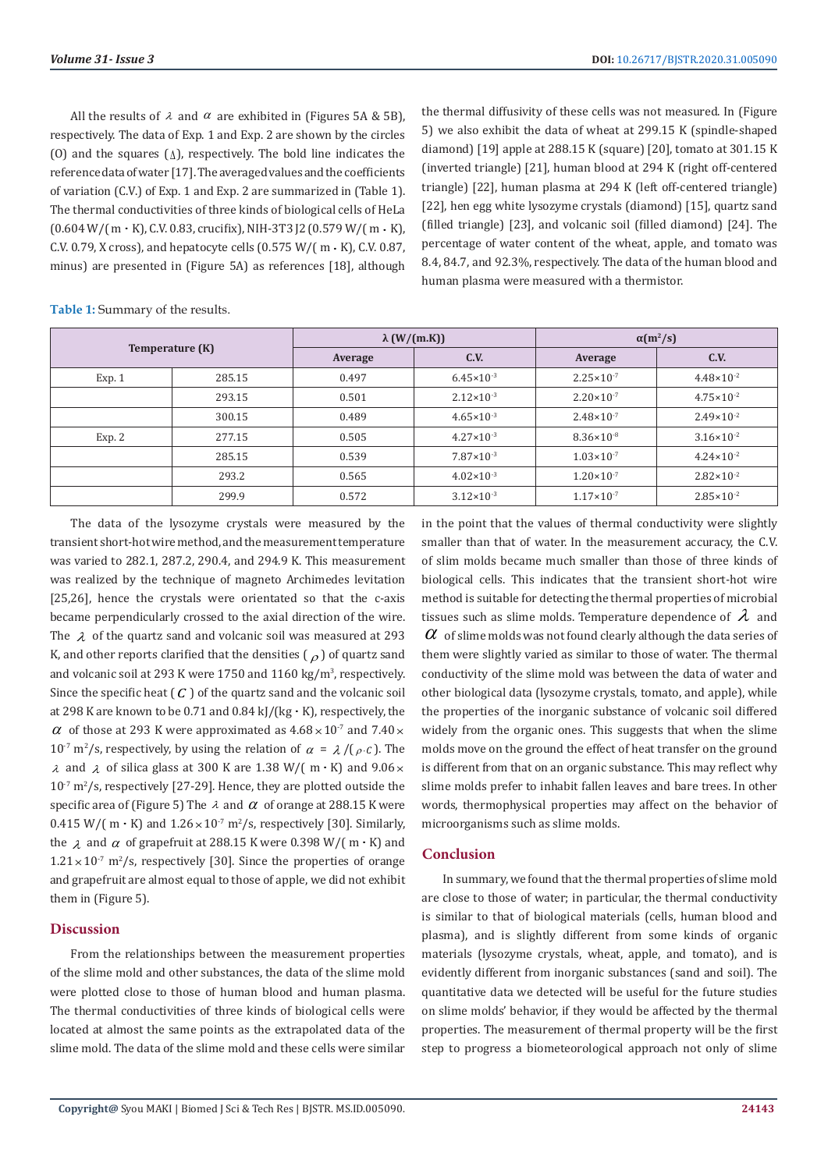All the results of  $\lambda$  and  $\alpha$  are exhibited in (Figures 5A & 5B). respectively. The data of Exp. 1 and Exp. 2 are shown by the circles (O) and the squares ( $\Delta$ ), respectively. The bold line indicates the reference data of water [17]. The averaged values and the coefficients of variation (C.V.) of Exp. 1 and Exp. 2 are summarized in (Table 1). The thermal conductivities of three kinds of biological cells of HeLa (0.604 W/( m ⋅ K), C.V. 0.83, crucifix), NIH-3T3 J2 (0.579 W/( m ⋅ K), C.V. 0.79, X cross), and hepatocyte cells (0.575 W/( m ⋅ K), C.V. 0.87, minus) are presented in (Figure 5A) as references [18], although the thermal diffusivity of these cells was not measured. In (Figure 5) we also exhibit the data of wheat at 299.15 K (spindle-shaped diamond) [19] apple at 288.15 K (square) [20], tomato at 301.15 K (inverted triangle) [21], human blood at 294 K (right off-centered triangle) [22], human plasma at 294 K (left off-centered triangle) [22], hen egg white lysozyme crystals (diamond) [15], quartz sand (filled triangle) [23], and volcanic soil (filled diamond) [24]. The percentage of water content of the wheat, apple, and tomato was 8.4, 84.7, and 92.3%, respectively. The data of the human blood and human plasma were measured with a thermistor.

**Table 1:** Summary of the results.

| Temperature (K) |        | $\lambda$ (W/(m.K)) |                       | $\alpha(m^2/s)$       |                       |
|-----------------|--------|---------------------|-----------------------|-----------------------|-----------------------|
|                 |        | Average             | C.V.                  | Average               | C.V.                  |
| Exp. 1          | 285.15 | 0.497               | $6.45 \times 10^{-3}$ | $2.25 \times 10^{-7}$ | $4.48 \times 10^{-2}$ |
|                 | 293.15 | 0.501               | $2.12 \times 10^{-3}$ | $2.20 \times 10^{-7}$ | $4.75 \times 10^{-2}$ |
|                 | 300.15 | 0.489               | $4.65 \times 10^{-3}$ | $2.48 \times 10^{-7}$ | $2.49 \times 10^{-2}$ |
| Exp. 2          | 277.15 | 0.505               | $4.27 \times 10^{-3}$ | $8.36 \times 10^{-8}$ | $3.16 \times 10^{-2}$ |
|                 | 285.15 | 0.539               | $7.87 \times 10^{-3}$ | $1.03 \times 10^{-7}$ | $4.24 \times 10^{-2}$ |
|                 | 293.2  | 0.565               | $4.02 \times 10^{-3}$ | $1.20 \times 10^{-7}$ | $2.82 \times 10^{-2}$ |
|                 | 299.9  | 0.572               | $3.12 \times 10^{-3}$ | $1.17 \times 10^{-7}$ | $2.85 \times 10^{-2}$ |

The data of the lysozyme crystals were measured by the transient short-hot wire method, and the measurement temperature was varied to 282.1, 287.2, 290.4, and 294.9 K. This measurement was realized by the technique of magneto Archimedes levitation [25,26], hence the crystals were orientated so that the c-axis became perpendicularly crossed to the axial direction of the wire. The  $\lambda$  of the quartz sand and volcanic soil was measured at 293 K, and other reports clarified that the densities  $\binom{\rho}{\rho}$  of quartz sand and volcanic soil at 293 K were  $1750$  and  $1160 \text{ kg/m}^3$ , respectively. Since the specific heat  $(C)$  of the quartz sand and the volcanic soil at 298 K are known to be 0.71 and 0.84 kJ/(kg ⋅ K), respectively, the  $\alpha$  of those at 293 K were approximated as  $4.68 \times 10^{-7}$  and  $7.40 \times$ 10<sup>-7</sup> m<sup>2</sup>/s, respectively, by using the relation of  $\alpha = \lambda / (\rho \cdot c)$ . The  $\lambda$  and  $\lambda$  of silica glass at 300 K are 1.38 W/( m ⋅ K) and 9.06 ×  $10^{-7}$  m<sup>2</sup>/s, respectively [27-29]. Hence, they are plotted outside the specific area of (Figure 5) The  $\lambda$  and  $\alpha$  of orange at 288.15 K were 0.415 W/( m ⋅ K) and  $1.26 \times 10^7$  m<sup>2</sup>/s, respectively [30]. Similarly, the  $\lambda$  and  $\alpha$  of grapefruit at 288.15 K were 0.398 W/( m ⋅ K) and  $1.21 \times 10^{-7}$  m<sup>2</sup>/s, respectively [30]. Since the properties of orange and grapefruit are almost equal to those of apple, we did not exhibit them in (Figure 5).

#### **Discussion**

From the relationships between the measurement properties of the slime mold and other substances, the data of the slime mold were plotted close to those of human blood and human plasma. The thermal conductivities of three kinds of biological cells were located at almost the same points as the extrapolated data of the slime mold. The data of the slime mold and these cells were similar in the point that the values of thermal conductivity were slightly smaller than that of water. In the measurement accuracy, the C.V. of slim molds became much smaller than those of three kinds of biological cells. This indicates that the transient short-hot wire method is suitable for detecting the thermal properties of microbial tissues such as slime molds. Temperature dependence of  $\lambda$  and  $\alpha$  of slime molds was not found clearly although the data series of them were slightly varied as similar to those of water. The thermal conductivity of the slime mold was between the data of water and other biological data (lysozyme crystals, tomato, and apple), while the properties of the inorganic substance of volcanic soil differed widely from the organic ones. This suggests that when the slime molds move on the ground the effect of heat transfer on the ground is different from that on an organic substance. This may reflect why slime molds prefer to inhabit fallen leaves and bare trees. In other words, thermophysical properties may affect on the behavior of microorganisms such as slime molds.

### **Conclusion**

In summary, we found that the thermal properties of slime mold are close to those of water; in particular, the thermal conductivity is similar to that of biological materials (cells, human blood and plasma), and is slightly different from some kinds of organic materials (lysozyme crystals, wheat, apple, and tomato), and is evidently different from inorganic substances (sand and soil). The quantitative data we detected will be useful for the future studies on slime molds' behavior, if they would be affected by the thermal properties. The measurement of thermal property will be the first step to progress a biometeorological approach not only of slime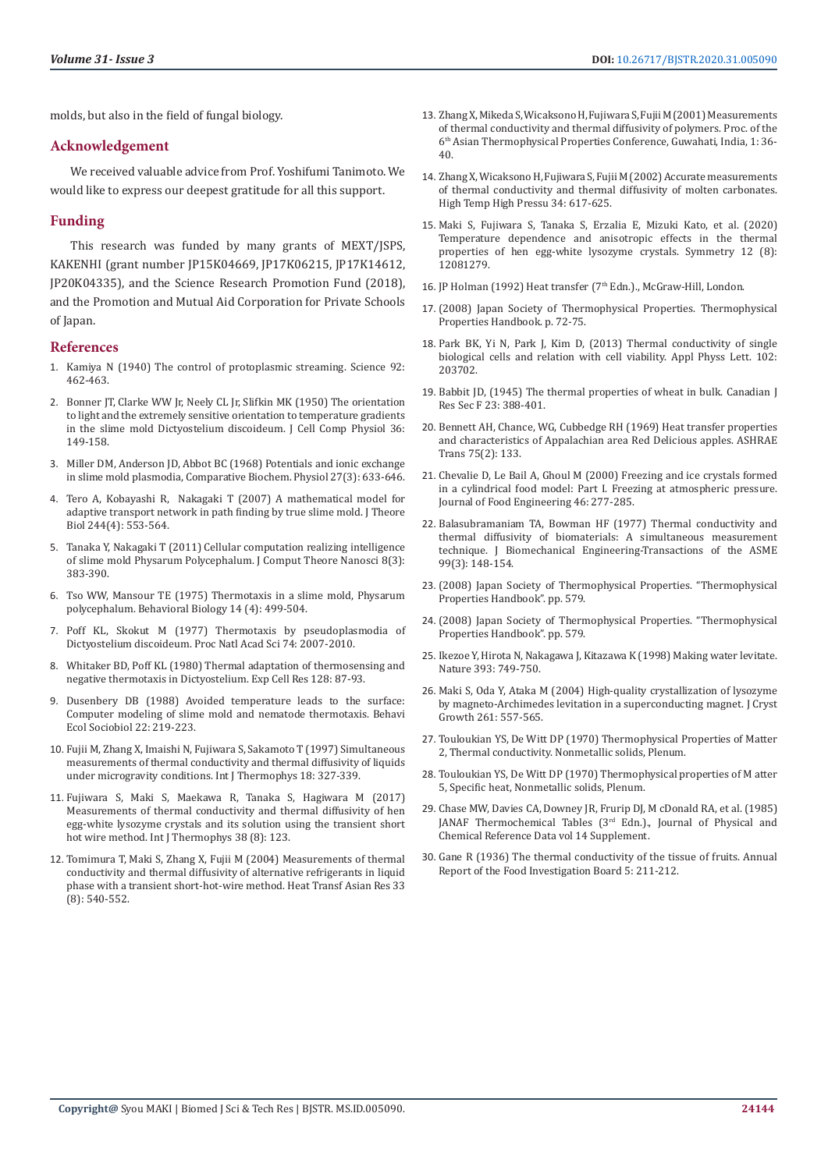molds, but also in the field of fungal biology.

#### **Acknowledgement**

We received valuable advice from Prof. Yoshifumi Tanimoto. We would like to express our deepest gratitude for all this support.

#### **Funding**

This research was funded by many grants of MEXT/JSPS, KAKENHI (grant number JP15K04669, JP17K06215, JP17K14612, JP20K04335), and the Science Research Promotion Fund (2018), and the Promotion and Mutual Aid Corporation for Private Schools of Japan.

#### **References**

- 1. Kamiya N (1940) The control of protoplasmic streaming. Science 92: 462-463.
- 2. Bonner JT, Clarke WW Jr, Neely CL Jr, Slifkin MK (1950) The orientation to light and the extremely sensitive orientation to temperature gradients in the slime mold Dictyostelium discoideum. J Cell Comp Physiol 36: 149-158.
- 3. Miller DM, Anderson JD, Abbot BC (1968) Potentials and ionic exchange in slime mold plasmodia, Comparative Biochem. Physiol 27(3): 633-646.
- 4. Tero A, Kobayashi R, Nakagaki T (2007) A mathematical model for adaptive transport network in path finding by true slime mold. J Theore Biol 244(4): 553-564.
- 5. Tanaka Y, Nakagaki T (2011) Cellular computation realizing intelligence of slime mold Physarum Polycephalum. J Comput Theore Nanosci 8(3): 383-390.
- 6. Tso WW, Mansour TE (1975) Thermotaxis in a slime mold, Physarum polycephalum. Behavioral Biology 14 (4): 499-504.
- 7. Poff KL, Skokut M (1977) Thermotaxis by pseudoplasmodia of Dictyostelium discoideum. Proc Natl Acad Sci 74: 2007-2010.
- 8. Whitaker BD, Poff KL (1980) Thermal adaptation of thermosensing and negative thermotaxis in Dictyostelium. Exp Cell Res 128: 87-93.
- 9. Dusenbery DB (1988) Avoided temperature leads to the surface: Computer modeling of slime mold and nematode thermotaxis. Behavi Ecol Sociobiol 22: 219-223.
- 10. Fujii M, Zhang X, Imaishi N, Fujiwara S, Sakamoto T (1997) Simultaneous measurements of thermal conductivity and thermal diffusivity of liquids under microgravity conditions. Int J Thermophys 18: 327-339.
- 11. Fujiwara S, Maki S, Maekawa R, Tanaka S, Hagiwara M (2017) Measurements of thermal conductivity and thermal diffusivity of hen egg-white lysozyme crystals and its solution using the transient short hot wire method. Int J Thermophys 38 (8): 123.
- 12. Tomimura T, Maki S, Zhang X, Fujii M (2004) Measurements of thermal conductivity and thermal diffusivity of alternative refrigerants in liquid phase with a transient short-hot-wire method. Heat Transf Asian Res 33 (8): 540-552.
- 13. Zhang X, Mikeda S, Wicaksono H, Fujiwara S, Fujii M (2001) Measurements of thermal conductivity and thermal diffusivity of polymers. Proc. of the 6th Asian Thermophysical Properties Conference, Guwahati, India, 1: 36- 40.
- 14. Zhang X, Wicaksono H, Fujiwara S, Fujii M (2002) Accurate measurements of thermal conductivity and thermal diffusivity of molten carbonates. High Temp High Pressu 34: 617-625.
- 15. Maki S, Fujiwara S, Tanaka S, Erzalia E, Mizuki Kato, et al. (2020) Temperature dependence and anisotropic effects in the thermal properties of hen egg-white lysozyme crystals. Symmetry 12 (8): 12081279.
- 16. JP Holman (1992) Heat transfer (7<sup>th</sup> Edn.)., McGraw-Hill, London.
- 17. (2008) Japan Society of Thermophysical Properties. Thermophysical Properties Handbook. p. 72-75.
- 18. Park BK, Yi N, Park J, Kim D, (2013) Thermal conductivity of single biological cells and relation with cell viability. Appl Physs Lett. 102: 203702.
- 19. Babbit JD, (1945) The thermal properties of wheat in bulk. Canadian J Res Sec F 23: 388-401.
- 20. Bennett AH, Chance, WG, Cubbedge RH (1969) Heat transfer properties and characteristics of Appalachian area Red Delicious apples. ASHRAE Trans 75(2): 133.
- 21. Chevalie D, Le Bail A, Ghoul M (2000) Freezing and ice crystals formed in a cylindrical food model: Part I. Freezing at atmospheric pressure. Journal of Food Engineering 46: 277-285.
- 22. Balasubramaniam TA, Bowman HF (1977) Thermal conductivity and thermal diffusivity of biomaterials: A simultaneous measurement technique. J Biomechanical Engineering-Transactions of the ASME 99(3): 148-154.
- 23. (2008) Japan Society of Thermophysical Properties. "Thermophysical Properties Handbook". pp. 579.
- 24. (2008) Japan Society of Thermophysical Properties. "Thermophysical Properties Handbook". pp. 579.
- 25. Ikezoe Y, Hirota N, Nakagawa J, Kitazawa K (1998) Making water levitate. Nature 393: 749-750.
- 26. Maki S, Oda Y, Ataka M (2004) High-quality crystallization of lysozyme by magneto-Archimedes levitation in a superconducting magnet. J Cryst Growth 261: 557-565.
- 27. Touloukian YS, De Witt DP (1970) Thermophysical Properties of Matter 2, Thermal conductivity. Nonmetallic solids, Plenum.
- 28. Touloukian YS, De Witt DP (1970) Thermophysical properties of M atter 5, Specific heat, Nonmetallic solids, Plenum.
- 29. Chase MW, Davies CA, Downey JR, Frurip DJ, M cDonald RA, et al. (1985) JANAF Thermochemical Tables (3<sup>rd</sup> Edn.)., Journal of Physical and Chemical Reference Data vol 14 Supplement.
- 30. Gane R (1936) The thermal conductivity of the tissue of fruits. Annual Report of the Food Investigation Board 5: 211-212.